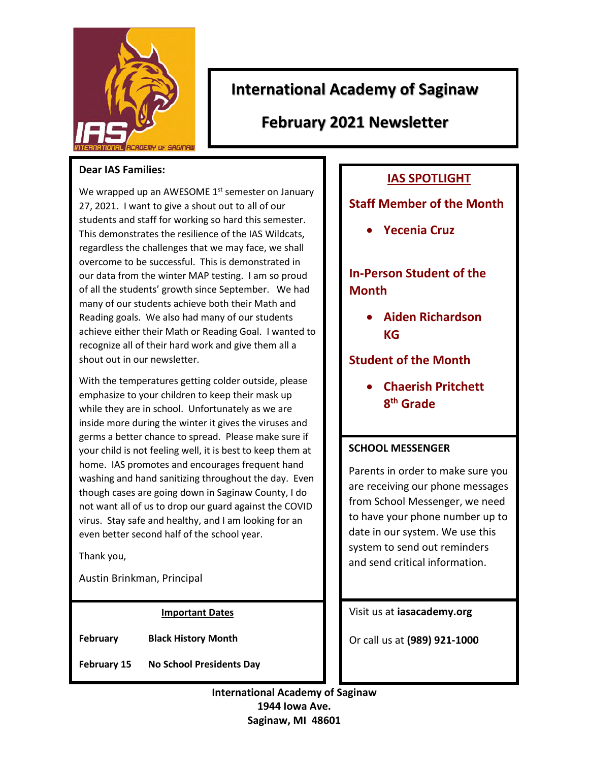

# **International Academy of Saginaw**

**February 2021 Newsletter** 

#### **Dear IAS Families:**

We wrapped up an AWESOME  $1<sup>st</sup>$  semester on January 27, 2021. I want to give a shout out to all of our students and staff for working so hard this semester. This demonstrates the resilience of the IAS Wildcats, regardless the challenges that we may face, we shall overcome to be successful. This is demonstrated in our data from the winter MAP testing. I am so proud of all the students' growth since September. We had many of our students achieve both their Math and Reading goals. We also had many of our students achieve either their Math or Reading Goal. I wanted to recognize all of their hard work and give them all a shout out in our newsletter.

With the temperatures getting colder outside, please emphasize to your children to keep their mask up while they are in school. Unfortunately as we are inside more during the winter it gives the viruses and germs a better chance to spread. Please make sure if your child is not feeling well, it is best to keep them at home. IAS promotes and encourages frequent hand washing and hand sanitizing throughout the day. Even though cases are going down in Saginaw County, I do not want all of us to drop our guard against the COVID virus. Stay safe and healthy, and I am looking for an even better second half of the school year.

Thank you,

Austin Brinkman, Principal

#### **Important Dates**

**February Black History Month** 

**February 15 No School Presidents Day** 

## **IAS SPOTLIGHT**

### **Staff Member of the Month**

**Yecenia Cruz** 

# **In-Person Student of the Month**

 **Aiden Richardson KG** 

**Student of the Month** 

 **Chaerish Pritchett 8 th Grade** 

#### **SCHOOL MESSENGER**

Parents in order to make sure you are receiving our phone messages from School Messenger, we need to have your phone number up to date in our system. We use this system to send out reminders and send critical information.

Visit us at **iasacademy.org** 

Or call us at **(989) 921-1000**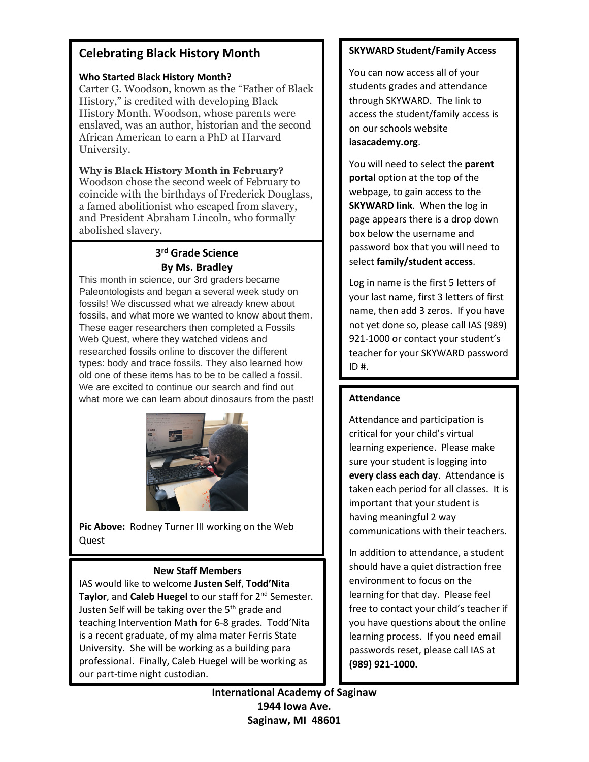### **Celebrating Black History Month**

#### **Who Started Black History Month?**

Carter G. Woodson, known as the "Father of Black History," is credited with developing Black History Month. Woodson, whose parents were enslaved, was an author, historian and the second African American to earn a PhD at Harvard University.

**Why is Black History Month in February?**  Woodson chose the second week of February to coincide with the birthdays of Frederick Douglass, a famed abolitionist who escaped from slavery, and President Abraham Lincoln, who formally abolished slavery.

#### **3 rd Grade Science By Ms. Bradley**

This month in science, our 3rd graders became Paleontologists and began a several week study on fossils! We discussed what we already knew about fossils, and what more we wanted to know about them. These eager researchers then completed a Fossils Web Quest, where they watched videos and researched fossils online to discover the different types: body and trace fossils. They also learned how old one of these items has to be to be called a fossil. We are excited to continue our search and find out what more we can learn about dinosaurs from the past!



**Pic Above:** Rodney Turner III working on the Web Quest

#### **New Staff Members**

IAS would like to welcome **Justen Self**, **Todd'Nita**  Taylor, and Caleb Huegel to our staff for 2<sup>nd</sup> Semester. Justen Self will be taking over the 5<sup>th</sup> grade and teaching Intervention Math for 6-8 grades. Todd'Nita is a recent graduate, of my alma mater Ferris State University. She will be working as a building para professional. Finally, Caleb Huegel will be working as our part-time night custodian.

#### **SKYWARD Student/Family Access**

You can now access all of your students grades and attendance through SKYWARD. The link to access the student/family access is on our schools website **iasacademy.org**.

You will need to select the **parent portal** option at the top of the webpage, to gain access to the **SKYWARD link**. When the log in page appears there is a drop down box below the username and password box that you will need to select **family/student access**.

Log in name is the first 5 letters of your last name, first 3 letters of first name, then add 3 zeros. If you have not yet done so, please call IAS (989) 921-1000 or contact your student's teacher for your SKYWARD password  $ID#$ .

#### **Attendance**

Attendance and participation is critical for your child's virtual learning experience. Please make sure your student is logging into **every class each day**. Attendance is taken each period for all classes. It is important that your student is having meaningful 2 way communications with their teachers.

In addition to attendance, a student should have a quiet distraction free environment to focus on the learning for that day. Please feel free to contact your child's teacher if you have questions about the online learning process. If you need email passwords reset, please call IAS at **(989) 921-1000.**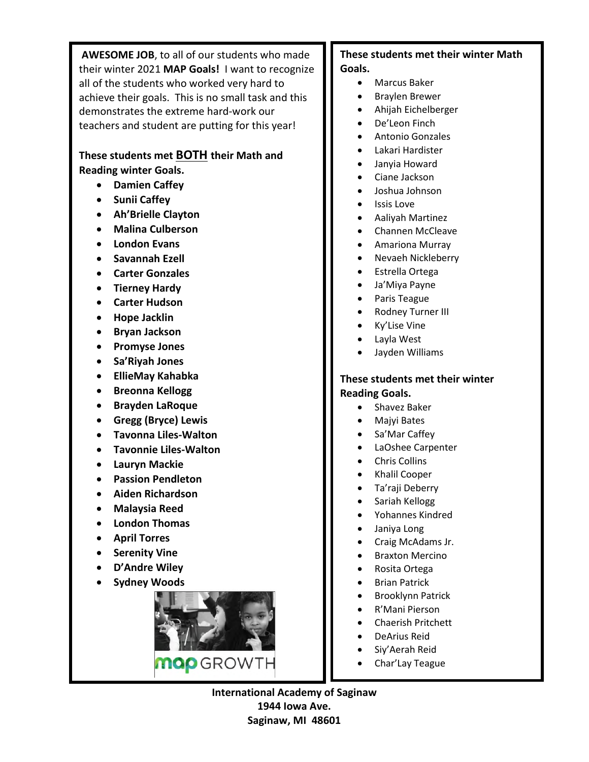**AWESOME JOB**, to all of our students who made their winter 2021 **MAP Goals!** I want to recognize all of the students who worked very hard to achieve their goals. This is no small task and this demonstrates the extreme hard-work our teachers and student are putting for this year!

### **These students met BOTH their Math and**

**Reading winter Goals.** 

- **Damien Caffey**
- **Sunii Caffey**
- **Ah'Brielle Clayton**
- **Malina Culberson**
- **London Evans**
- **Savannah Ezell**
- **Carter Gonzales**
- **Tierney Hardy**
- **Carter Hudson**
- **Hope Jacklin**
- **Bryan Jackson**
- **Promyse Jones**
- **Sa'Riyah Jones**
- **EllieMay Kahabka**
- **Breonna Kellogg**
- **Brayden LaRoque**
- **Gregg (Bryce) Lewis**
- **Tavonna Liles-Walton**
- **Tavonnie Liles-Walton**
- **Lauryn Mackie**
- **Passion Pendleton**
- **Aiden Richardson**
- **Malaysia Reed**
- **London Thomas**
- **April Torres**
- **•** Serenity Vine
- **D'Andre Wiley**
- **Sydney Woods**



### **These students met their winter Math Goals.**

- Marcus Baker
- Braylen Brewer
- Ahijah Eichelberger
- De'Leon Finch
- Antonio Gonzales
- Lakari Hardister
- Janyia Howard
- Ciane Jackson
- Joshua Johnson
- Issis Love
- Aaliyah Martinez
- Channen McCleave
- Amariona Murray
- Nevaeh Nickleberry
- Estrella Ortega
- Ja'Miya Payne
- Paris Teague
- Rodney Turner III
- Ky'Lise Vine
- Layla West
- Jayden Williams

#### **These students met their winter Reading Goals.**

- Shavez Baker
- Majyi Bates
- Sa'Mar Caffey
- LaOshee Carpenter
- Chris Collins
- Khalil Cooper
- Ta'raji Deberry
- Sariah Kellogg
- Yohannes Kindred
- Janiya Long
- Craig McAdams Jr.
- Braxton Mercino
- Rosita Ortega
- Brian Patrick
- Brooklynn Patrick
- R'Mani Pierson
- Chaerish Pritchett
- DeArius Reid
- Siy'Aerah Reid
- Char'Lay Teague